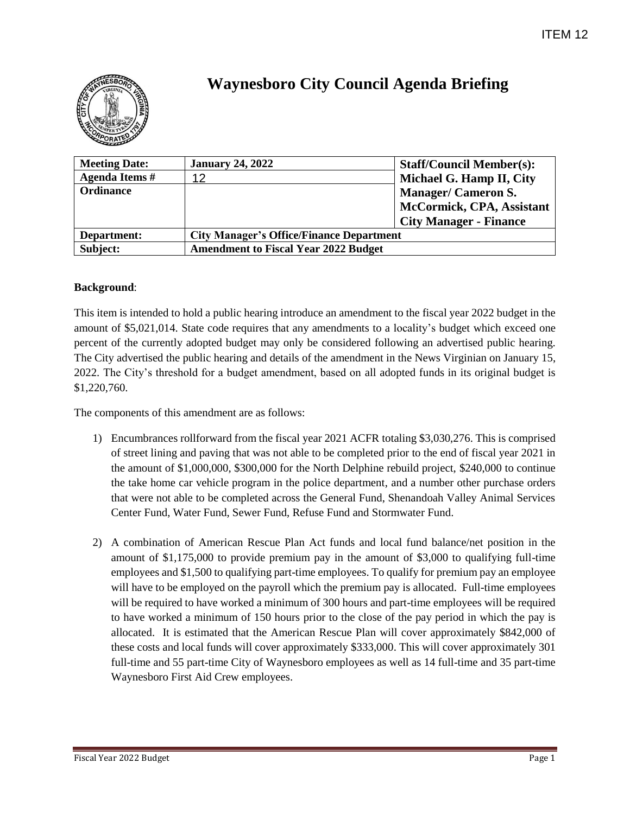

# **Waynesboro City Council Agenda Briefing**

| <b>Meeting Date:</b>  | <b>January 24, 2022</b>                         | <b>Staff/Council Member(s):</b> |
|-----------------------|-------------------------------------------------|---------------------------------|
| <b>Agenda Items #</b> | 12                                              | Michael G. Hamp II, City        |
| <b>Ordinance</b>      |                                                 | <b>Manager/Cameron S.</b>       |
|                       |                                                 | McCormick, CPA, Assistant       |
|                       |                                                 | <b>City Manager - Finance</b>   |
| Department:           | <b>City Manager's Office/Finance Department</b> |                                 |
| Subject:              | <b>Amendment to Fiscal Year 2022 Budget</b>     |                                 |

### **Background**:

This item is intended to hold a public hearing introduce an amendment to the fiscal year 2022 budget in the amount of \$5,021,014. State code requires that any amendments to a locality's budget which exceed one percent of the currently adopted budget may only be considered following an advertised public hearing. The City advertised the public hearing and details of the amendment in the News Virginian on January 15, 2022. The City's threshold for a budget amendment, based on all adopted funds in its original budget is \$1,220,760.

The components of this amendment are as follows:

- 1) Encumbrances rollforward from the fiscal year 2021 ACFR totaling \$3,030,276. This is comprised of street lining and paving that was not able to be completed prior to the end of fiscal year 2021 in the amount of \$1,000,000, \$300,000 for the North Delphine rebuild project, \$240,000 to continue the take home car vehicle program in the police department, and a number other purchase orders that were not able to be completed across the General Fund, Shenandoah Valley Animal Services Center Fund, Water Fund, Sewer Fund, Refuse Fund and Stormwater Fund.
- 2) A combination of American Rescue Plan Act funds and local fund balance/net position in the amount of \$1,175,000 to provide premium pay in the amount of \$3,000 to qualifying full-time employees and \$1,500 to qualifying part-time employees. To qualify for premium pay an employee will have to be employed on the payroll which the premium pay is allocated. Full-time employees will be required to have worked a minimum of 300 hours and part-time employees will be required to have worked a minimum of 150 hours prior to the close of the pay period in which the pay is allocated. It is estimated that the American Rescue Plan will cover approximately \$842,000 of these costs and local funds will cover approximately \$333,000. This will cover approximately 301 full-time and 55 part-time City of Waynesboro employees as well as 14 full-time and 35 part-time Waynesboro First Aid Crew employees.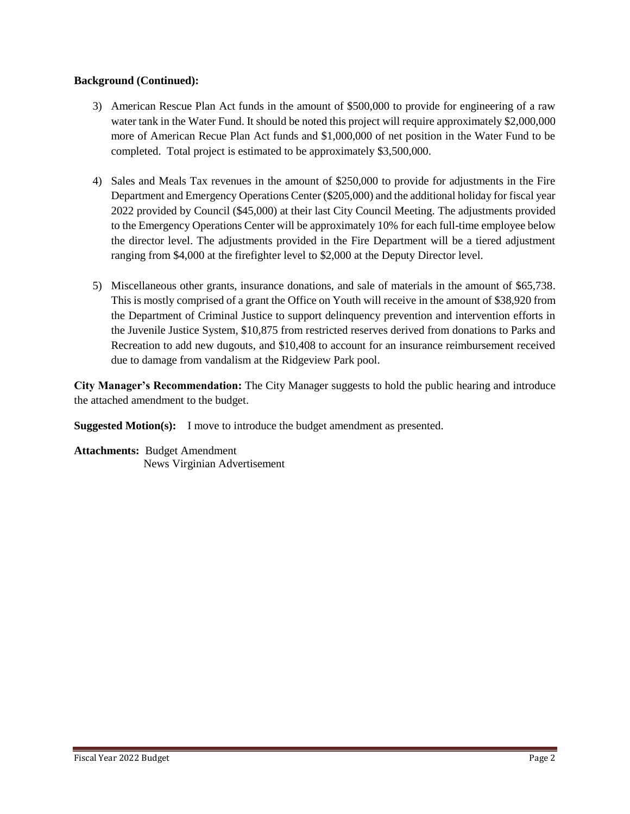### **Background (Continued):**

- 3) American Rescue Plan Act funds in the amount of \$500,000 to provide for engineering of a raw water tank in the Water Fund. It should be noted this project will require approximately \$2,000,000 more of American Recue Plan Act funds and \$1,000,000 of net position in the Water Fund to be completed. Total project is estimated to be approximately \$3,500,000.
- 4) Sales and Meals Tax revenues in the amount of \$250,000 to provide for adjustments in the Fire Department and Emergency Operations Center (\$205,000) and the additional holiday for fiscal year 2022 provided by Council (\$45,000) at their last City Council Meeting. The adjustments provided to the Emergency Operations Center will be approximately 10% for each full-time employee below the director level. The adjustments provided in the Fire Department will be a tiered adjustment ranging from \$4,000 at the firefighter level to \$2,000 at the Deputy Director level.
- 5) Miscellaneous other grants, insurance donations, and sale of materials in the amount of \$65,738. This is mostly comprised of a grant the Office on Youth will receive in the amount of \$38,920 from the Department of Criminal Justice to support delinquency prevention and intervention efforts in the Juvenile Justice System, \$10,875 from restricted reserves derived from donations to Parks and Recreation to add new dugouts, and \$10,408 to account for an insurance reimbursement received due to damage from vandalism at the Ridgeview Park pool.

**City Manager's Recommendation:** The City Manager suggests to hold the public hearing and introduce the attached amendment to the budget.

**Suggested Motion(s):** I move to introduce the budget amendment as presented.

**Attachments:** Budget Amendment News Virginian Advertisement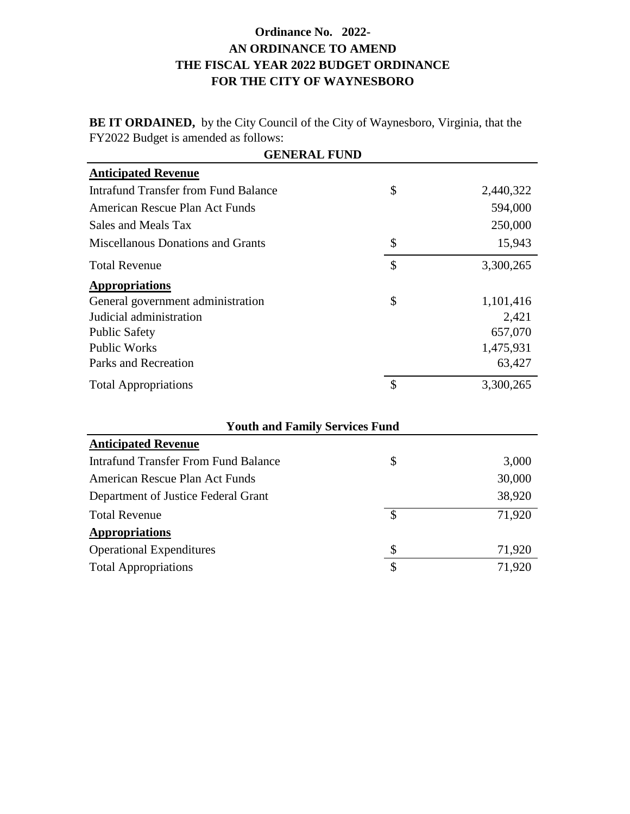## **Ordinance No. 2022- AN ORDINANCE TO AMEND THE FISCAL YEAR 2022 BUDGET ORDINANCE FOR THE CITY OF WAYNESBORO**

**BE IT ORDAINED,** by the City Council of the City of Waynesboro, Virginia, that the FY2022 Budget is amended as follows:

| <b>GENERAL FUND</b>                         |                          |           |  |  |
|---------------------------------------------|--------------------------|-----------|--|--|
| <b>Anticipated Revenue</b>                  |                          |           |  |  |
| <b>Intrafund Transfer from Fund Balance</b> | \$                       | 2,440,322 |  |  |
| American Rescue Plan Act Funds              |                          | 594,000   |  |  |
| Sales and Meals Tax                         |                          | 250,000   |  |  |
| <b>Miscellanous Donations and Grants</b>    | \$                       | 15,943    |  |  |
| <b>Total Revenue</b>                        | \$                       | 3,300,265 |  |  |
| <b>Appropriations</b>                       |                          |           |  |  |
| General government administration           | \$                       | 1,101,416 |  |  |
| Judicial administration                     |                          | 2,421     |  |  |
| <b>Public Safety</b>                        |                          | 657,070   |  |  |
| <b>Public Works</b>                         |                          | 1,475,931 |  |  |
| Parks and Recreation                        |                          | 63,427    |  |  |
| <b>Total Appropriations</b>                 | \$                       | 3,300,265 |  |  |
| <b>Youth and Family Services Fund</b>       |                          |           |  |  |
| <b>Anticipated Revenue</b>                  |                          |           |  |  |
| <b>Intrafund Transfer From Fund Balance</b> | \$                       | 3,000     |  |  |
| American Rescue Plan Act Funds              |                          | 30,000    |  |  |
| Department of Justice Federal Grant         |                          | 38,920    |  |  |
| <b>Total Revenue</b>                        | $\overline{\mathcal{S}}$ | 71,920    |  |  |
| <b>Appropriations</b>                       |                          |           |  |  |
| <b>Operational Expenditures</b>             | \$                       | 71,920    |  |  |
| <b>Total Appropriations</b>                 | \$                       | 71,920    |  |  |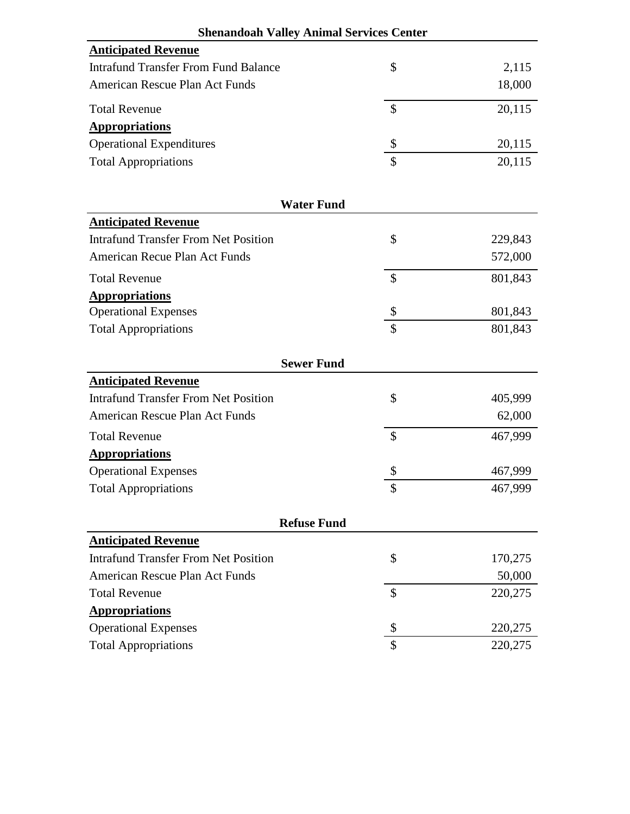| <b>Shenandoah Valley Animal Services Center</b> |                    |         |  |  |
|-------------------------------------------------|--------------------|---------|--|--|
| <b>Anticipated Revenue</b>                      |                    |         |  |  |
| <b>Intrafund Transfer From Fund Balance</b>     | \$                 | 2,115   |  |  |
| American Rescue Plan Act Funds                  |                    | 18,000  |  |  |
| <b>Total Revenue</b>                            | \$                 | 20,115  |  |  |
| <b>Appropriations</b>                           |                    |         |  |  |
| <b>Operational Expenditures</b>                 | \$                 | 20,115  |  |  |
| <b>Total Appropriations</b>                     | \$                 | 20,115  |  |  |
|                                                 | <b>Water Fund</b>  |         |  |  |
| <b>Anticipated Revenue</b>                      |                    |         |  |  |
| <b>Intrafund Transfer From Net Position</b>     | \$                 | 229,843 |  |  |
| American Recue Plan Act Funds                   |                    | 572,000 |  |  |
| <b>Total Revenue</b>                            | \$                 | 801,843 |  |  |
| <b>Appropriations</b>                           |                    |         |  |  |
| <b>Operational Expenses</b>                     | \$                 | 801,843 |  |  |
| <b>Total Appropriations</b>                     | \$                 | 801,843 |  |  |
|                                                 | <b>Sewer Fund</b>  |         |  |  |
| <b>Anticipated Revenue</b>                      |                    |         |  |  |
| <b>Intrafund Transfer From Net Position</b>     | \$                 | 405,999 |  |  |
| American Rescue Plan Act Funds                  |                    | 62,000  |  |  |
| <b>Total Revenue</b>                            | $\mathbf{\hat{S}}$ | 467,999 |  |  |
| <b>Appropriations</b>                           |                    |         |  |  |
| <b>Operational Expenses</b>                     | \$                 | 467,999 |  |  |
| <b>Total Appropriations</b>                     | ₼<br>Φ             | 467,999 |  |  |
|                                                 | <b>Refuse Fund</b> |         |  |  |
| <b>Anticipated Revenue</b>                      |                    |         |  |  |
| <b>Intrafund Transfer From Net Position</b>     | \$                 | 170,275 |  |  |
| <b>American Rescue Plan Act Funds</b>           |                    | 50,000  |  |  |
| <b>Total Revenue</b>                            | \$                 | 220,275 |  |  |
| <b>Appropriations</b>                           |                    |         |  |  |
| <b>Operational Expenses</b>                     | \$                 | 220,275 |  |  |
| <b>Total Appropriations</b>                     | \$                 | 220,275 |  |  |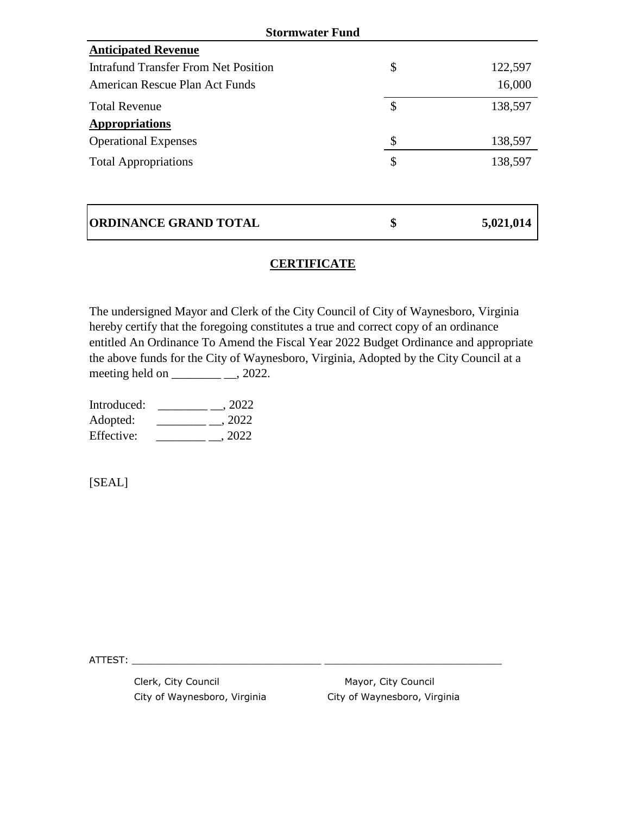| <b>Stormwater Fund</b>               |    |           |  |  |
|--------------------------------------|----|-----------|--|--|
| <b>Anticipated Revenue</b>           |    |           |  |  |
| Intrafund Transfer From Net Position | \$ | 122,597   |  |  |
| American Rescue Plan Act Funds       |    | 16,000    |  |  |
| <b>Total Revenue</b>                 | \$ | 138,597   |  |  |
| <b>Appropriations</b>                |    |           |  |  |
| <b>Operational Expenses</b>          | \$ | 138,597   |  |  |
| <b>Total Appropriations</b>          | \$ | 138,597   |  |  |
|                                      |    |           |  |  |
| <b>ORDINANCE GRAND TOTAL</b>         | \$ | 5,021,014 |  |  |

## **CERTIFICATE**

The undersigned Mayor and Clerk of the City Council of City of Waynesboro, Virginia hereby certify that the foregoing constitutes a true and correct copy of an ordinance entitled An Ordinance To Amend the Fiscal Year 2022 Budget Ordinance and appropriate the above funds for the City of Waynesboro, Virginia, Adopted by the City Council at a meeting held on  $\_\_\_\_\_\_\_\_\_\_\_2$ 

| Introduced: | , 2022 |
|-------------|--------|
| Adopted:    | . 2022 |
| Effective:  | , 2022 |

[SEAL]

ATTEST: \_\_\_\_\_\_\_\_\_\_\_\_\_\_\_\_\_\_\_\_\_\_\_\_\_\_\_\_\_\_\_\_ \_\_\_\_\_\_\_\_\_\_\_\_\_\_\_\_\_\_\_\_\_\_\_\_\_\_\_\_\_\_

Clerk, City Council **Mayor**, City Council

City of Waynesboro, Virginia City of Waynesboro, Virginia